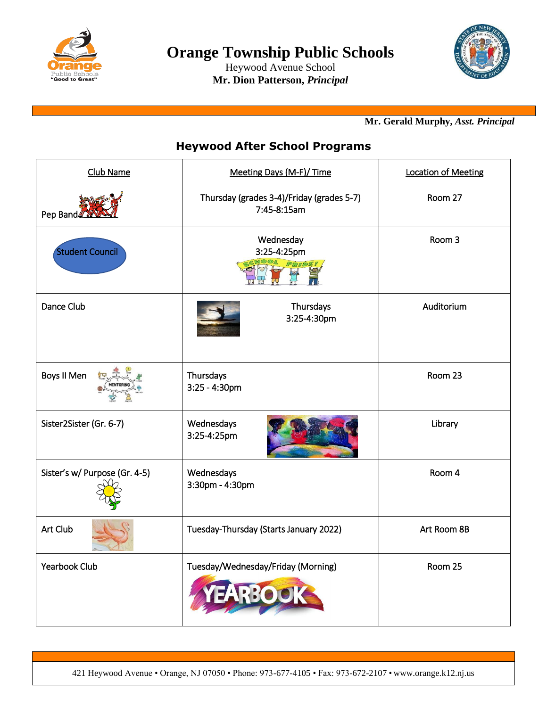

Heywood Avenue School **Mr. Dion Patterson,** *Principal*



## **Mr. Gerald Murphy,** *Asst. Principal*

## **Heywood After School Programs**

| Club Name                     | Meeting Days (M-F)/ Time                                 | <b>Location of Meeting</b> |
|-------------------------------|----------------------------------------------------------|----------------------------|
| Pep Band                      | Thursday (grades 3-4)/Friday (grades 5-7)<br>7:45-8:15am | Room 27                    |
| <b>Student Council</b>        | Wednesday<br>3:25-4:25pm<br><b>PRIDE!</b>                | Room 3                     |
| Dance Club                    | Thursdays<br>3:25-4:30pm                                 | Auditorium                 |
| Boys II Men                   | Thursdays<br>3:25 - 4:30pm                               | Room 23                    |
| Sister2Sister (Gr. 6-7)       | Wednesdays<br>3:25-4:25pm                                | Library                    |
| Sister's w/ Purpose (Gr. 4-5) | Wednesdays<br>3:30pm - 4:30pm                            | Room 4                     |
| Art Club                      | Tuesday-Thursday (Starts January 2022)                   | Art Room 8B                |
| <b>Yearbook Club</b>          | Tuesday/Wednesday/Friday (Morning)                       | Room 25                    |